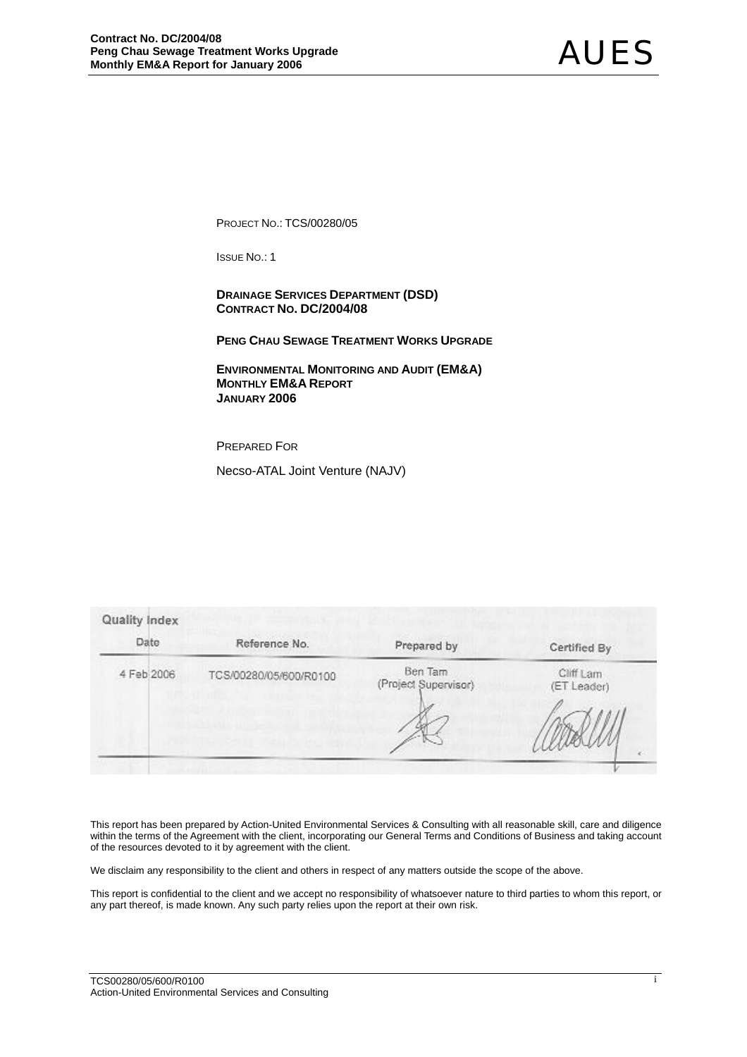PROJECT NO.: TCS/00280/05

ISSUE NO.: 1

 **DRAINAGE SERVICES DEPARTMENT (DSD) CONTRACT NO. DC/2004/08** 

**PENG CHAU SEWAGE TREATMENT WORKS UPGRADE**

 **ENVIRONMENTAL MONITORING AND AUDIT (EM&A) MONTHLY EM&A REPORT JANUARY 2006** 

PREPARED FOR

Necso-ATAL Joint Venture (NAJV)

| Date       | Reference No.          | Prepared by                     | Certified By             |
|------------|------------------------|---------------------------------|--------------------------|
| 4 Feb 2006 | TCS/00280/05/600/R0100 | Ben Tam<br>(Project Supervisor) | Cliff Lam<br>(ET Leader) |
|            |                        |                                 |                          |
|            |                        |                                 |                          |

This report has been prepared by Action-United Environmental Services & Consulting with all reasonable skill, care and diligence within the terms of the Agreement with the client, incorporating our General Terms and Conditions of Business and taking account of the resources devoted to it by agreement with the client.

We disclaim any responsibility to the client and others in respect of any matters outside the scope of the above.

This report is confidential to the client and we accept no responsibility of whatsoever nature to third parties to whom this report, or any part thereof, is made known. Any such party relies upon the report at their own risk.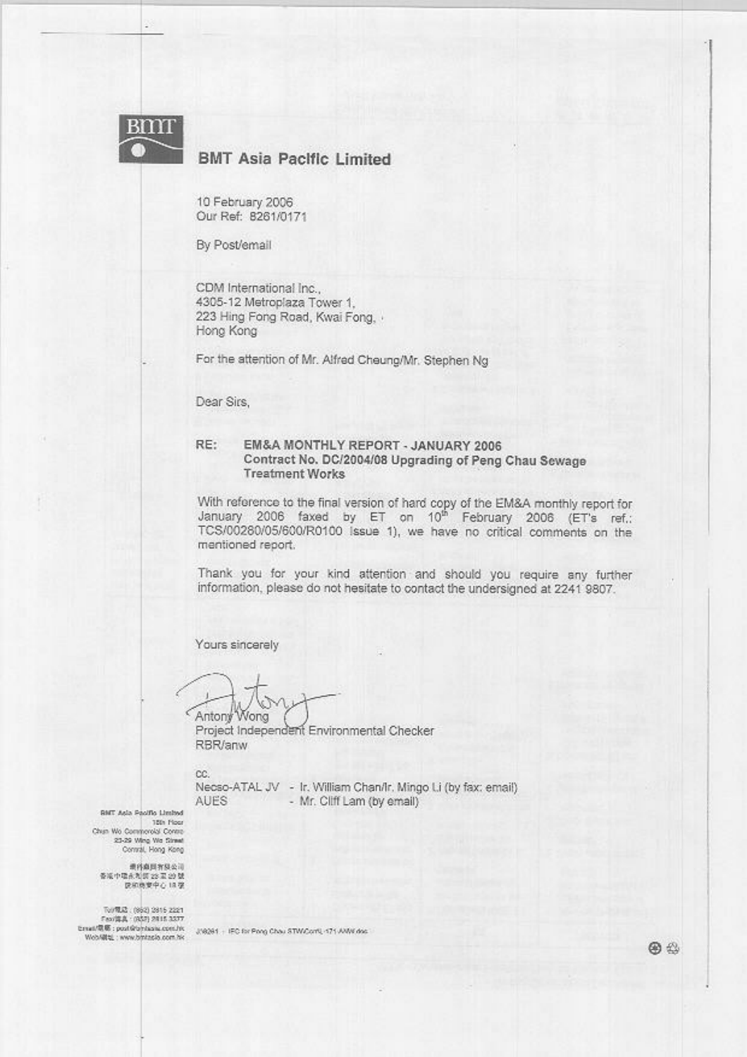

## **BMT Asia Pacific Limited**

10 February 2006 Our Ref: 8261/0171

By Post/email

CDM International Inc.. 4305-12 Metroplaza Tower 1. 223 Hing Fong Road, Kwai Fong, . Hong Kong

For the attention of Mr. Alfred Cheung/Mr. Stephen Ng

Dear Sirs.

#### RE: EM&A MONTHLY REPORT - JANUARY 2006 Contract No. DC/2004/08 Upgrading of Peng Chau Sewage **Treatment Works**

With reference to the final version of hard copy of the EM&A monthly report for<br>January 2006 faxed by ET on 10<sup>th</sup> February 2006 (ET's ref.: TCS/00280/05/600/R0100 Issue 1), we have no critical comments on the mentioned report.

Thank you for your kind attention and should you require any further information, please do not hesitate to contact the undersigned at 2241 9807.

Yours sincerely

Antony Wong c

Project Independent Environmental Checker RBR/anw

cc. AUES

Necso-ATAL JV - Ir. William Chan/Ir. Mingo Li (by fax: email) - Mr. Cliff Lam (by email)

**BMT Asia Poolfie Limbyd** 15th Piper Chun Wo Commercial Control 23-29 Wing We Simult

**通科商国有限公司** ※ 2011年1月8月1日<br>整治 定公 開き合理中学者<br>変非 心中東病院院

TV/RD2 (862) 2815 2221 Feor(第真: (852) 2815 3377<br>Ernat/電源: post@phissis.com.hk Wob/@bL: www.bintasia.com.hic

J/8361 - IEC for Pong Chau STW/Corff, 171 AW/K doc

图 公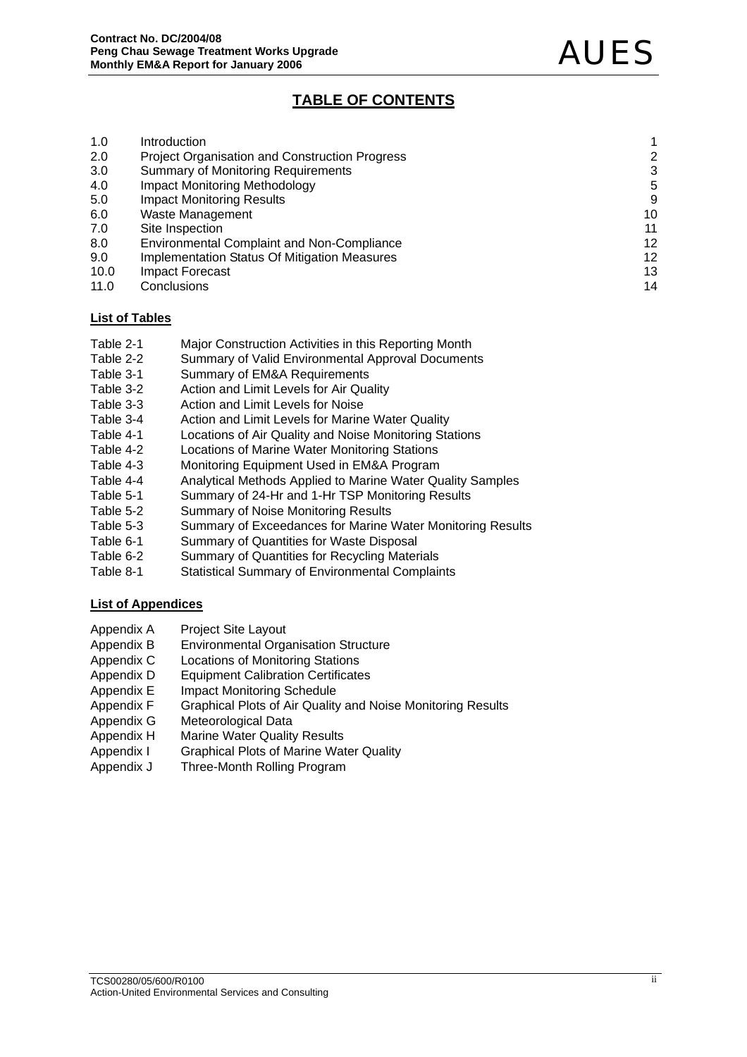# **TABLE OF CONTENTS**

| 1.0  | Introduction                                          |    |
|------|-------------------------------------------------------|----|
| 2.0  | <b>Project Organisation and Construction Progress</b> | 2  |
| 3.0  | <b>Summary of Monitoring Requirements</b>             | 3  |
| 4.0  | <b>Impact Monitoring Methodology</b>                  | 5  |
| 5.0  | <b>Impact Monitoring Results</b>                      | 9  |
| 6.0  | Waste Management                                      | 10 |
| 7.0  | Site Inspection                                       | 11 |
| 8.0  | <b>Environmental Complaint and Non-Compliance</b>     | 12 |
| 9.0  | Implementation Status Of Mitigation Measures          | 12 |
| 10.0 | Impact Forecast                                       | 13 |
| 11.0 | Conclusions                                           | 14 |

### **List of Tables**

- Table 2-1 Major Construction Activities in this Reporting Month
- Table 2-2 Summary of Valid Environmental Approval Documents
- Table 3-1 Summary of EM&A Requirements
- Table 3-2 Action and Limit Levels for Air Quality
- Table 3-3 Action and Limit Levels for Noise
- Table 3-4 Action and Limit Levels for Marine Water Quality
- Table 4-1 Locations of Air Quality and Noise Monitoring Stations
- Table 4-2 Locations of Marine Water Monitoring Stations
- Table 4-3 Monitoring Equipment Used in EM&A Program
- Table 4-4 Analytical Methods Applied to Marine Water Quality Samples
- Table 5-1 Summary of 24-Hr and 1-Hr TSP Monitoring Results
- Table 5-2 Summary of Noise Monitoring Results
- Table 5-3 Summary of Exceedances for Marine Water Monitoring Results
- Table 6-1 Summary of Quantities for Waste Disposal
- Table 6-2 Summary of Quantities for Recycling Materials
- Table 8-1 Statistical Summary of Environmental Complaints

### **List of Appendices**

- Appendix A Project Site Layout
- Appendix B Environmental Organisation Structure
- Appendix C Locations of Monitoring Stations
- Appendix D Equipment Calibration Certificates
- Appendix E Impact Monitoring Schedule
- Appendix F Graphical Plots of Air Quality and Noise Monitoring Results
- Appendix G Meteorological Data
- Appendix H Marine Water Quality Results
- Appendix I Graphical Plots of Marine Water Quality
- Appendix J Three-Month Rolling Program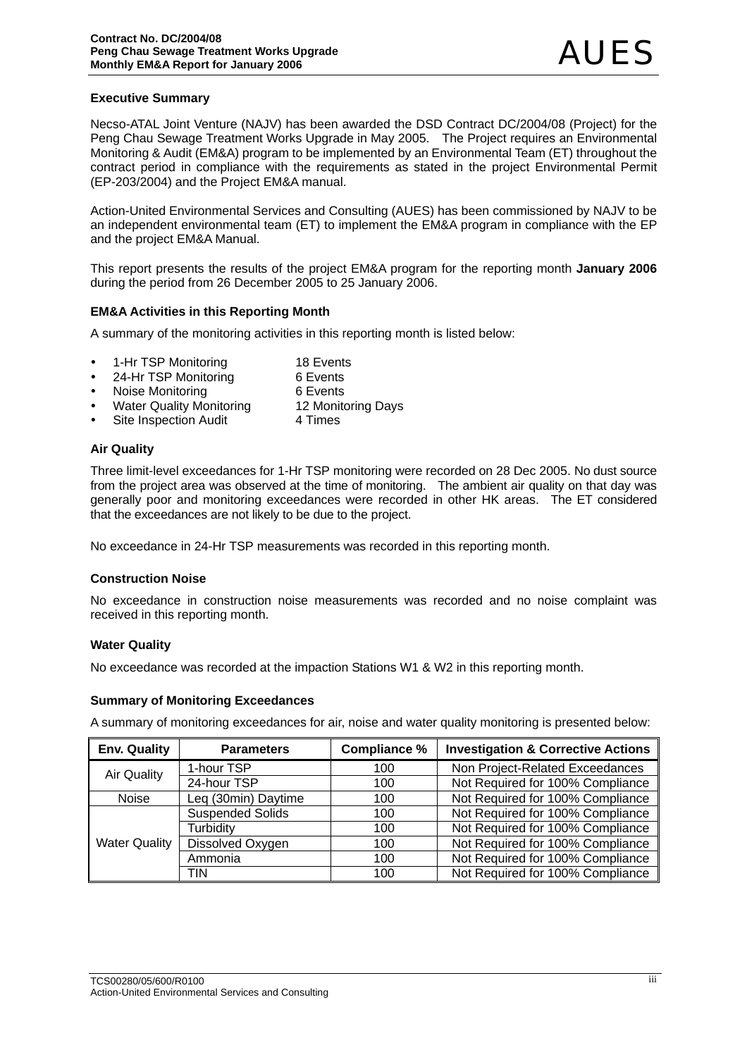### **Executive Summary**

Necso-ATAL Joint Venture (NAJV) has been awarded the DSD Contract DC/2004/08 (Project) for the Peng Chau Sewage Treatment Works Upgrade in May 2005. The Project requires an Environmental Monitoring & Audit (EM&A) program to be implemented by an Environmental Team (ET) throughout the contract period in compliance with the requirements as stated in the project Environmental Permit (EP-203/2004) and the Project EM&A manual.

Action-United Environmental Services and Consulting (AUES) has been commissioned by NAJV to be an independent environmental team (ET) to implement the EM&A program in compliance with the EP and the project EM&A Manual.

This report presents the results of the project EM&A program for the reporting month **January 2006**  during the period from 26 December 2005 to 25 January 2006.

### **EM&A Activities in this Reporting Month**

A summary of the monitoring activities in this reporting month is listed below:

- 1-Hr TSP Monitoring 18 Events
- 24-Hr TSP Monitoring 6 Events
- Noise Monitoring **6** Events
- Water Quality Monitoring 12 Monitoring Days
- Site Inspection Audit 4 Times

### **Air Quality**

Three limit-level exceedances for 1-Hr TSP monitoring were recorded on 28 Dec 2005. No dust source from the project area was observed at the time of monitoring. The ambient air quality on that day was generally poor and monitoring exceedances were recorded in other HK areas. The ET considered that the exceedances are not likely to be due to the project.

No exceedance in 24-Hr TSP measurements was recorded in this reporting month.

#### **Construction Noise**

No exceedance in construction noise measurements was recorded and no noise complaint was received in this reporting month.

#### **Water Quality**

No exceedance was recorded at the impaction Stations W1 & W2 in this reporting month.

#### **Summary of Monitoring Exceedances**

A summary of monitoring exceedances for air, noise and water quality monitoring is presented below:

| <b>Env. Quality</b>  | <b>Parameters</b>       | <b>Compliance %</b> | <b>Investigation &amp; Corrective Actions</b> |
|----------------------|-------------------------|---------------------|-----------------------------------------------|
| <b>Air Quality</b>   | 1-hour TSP              | 100                 | Non Project-Related Exceedances               |
|                      | 24-hour TSP             | 100                 | Not Required for 100% Compliance              |
| <b>Noise</b>         | Leq (30min) Daytime     | 100                 | Not Required for 100% Compliance              |
|                      | <b>Suspended Solids</b> | 100                 | Not Required for 100% Compliance              |
|                      | Turbidity               | 100                 | Not Required for 100% Compliance              |
| <b>Water Quality</b> | Dissolved Oxygen        | 100                 | Not Required for 100% Compliance              |
|                      | Ammonia                 | 100                 | Not Required for 100% Compliance              |
|                      | TIN                     | 100                 | Not Required for 100% Compliance              |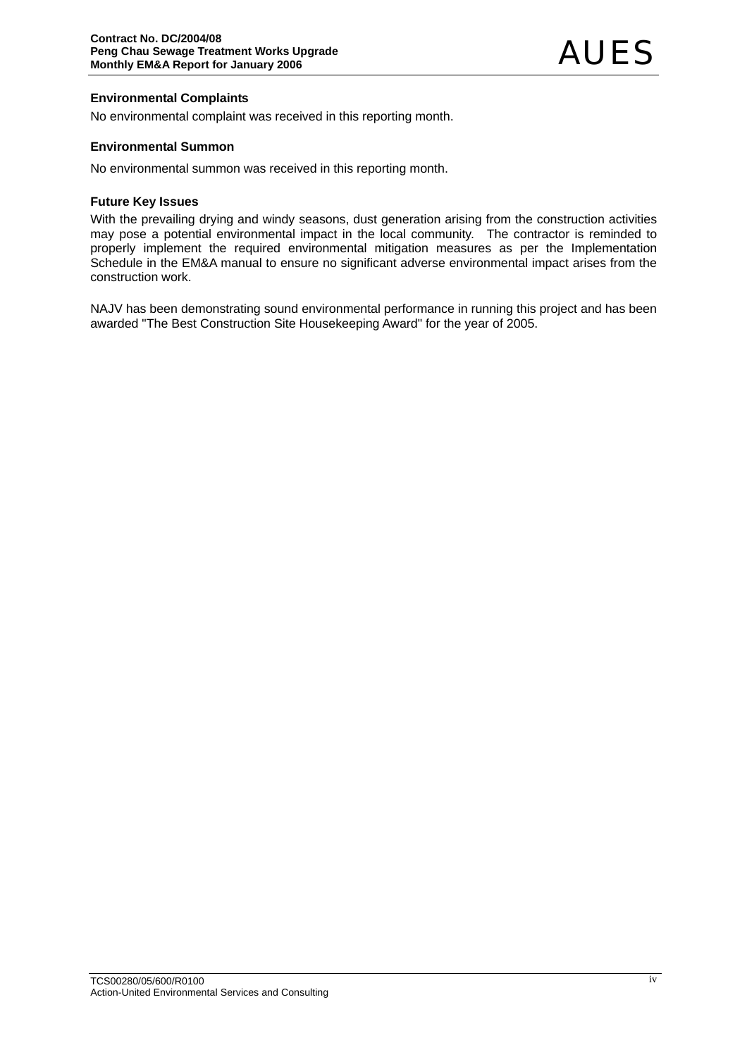### **Environmental Complaints**

No environmental complaint was received in this reporting month.

### **Environmental Summon**

No environmental summon was received in this reporting month.

#### **Future Key Issues**

With the prevailing drying and windy seasons, dust generation arising from the construction activities may pose a potential environmental impact in the local community. The contractor is reminded to properly implement the required environmental mitigation measures as per the Implementation Schedule in the EM&A manual to ensure no significant adverse environmental impact arises from the construction work.

NAJV has been demonstrating sound environmental performance in running this project and has been awarded "The Best Construction Site Housekeeping Award" for the year of 2005.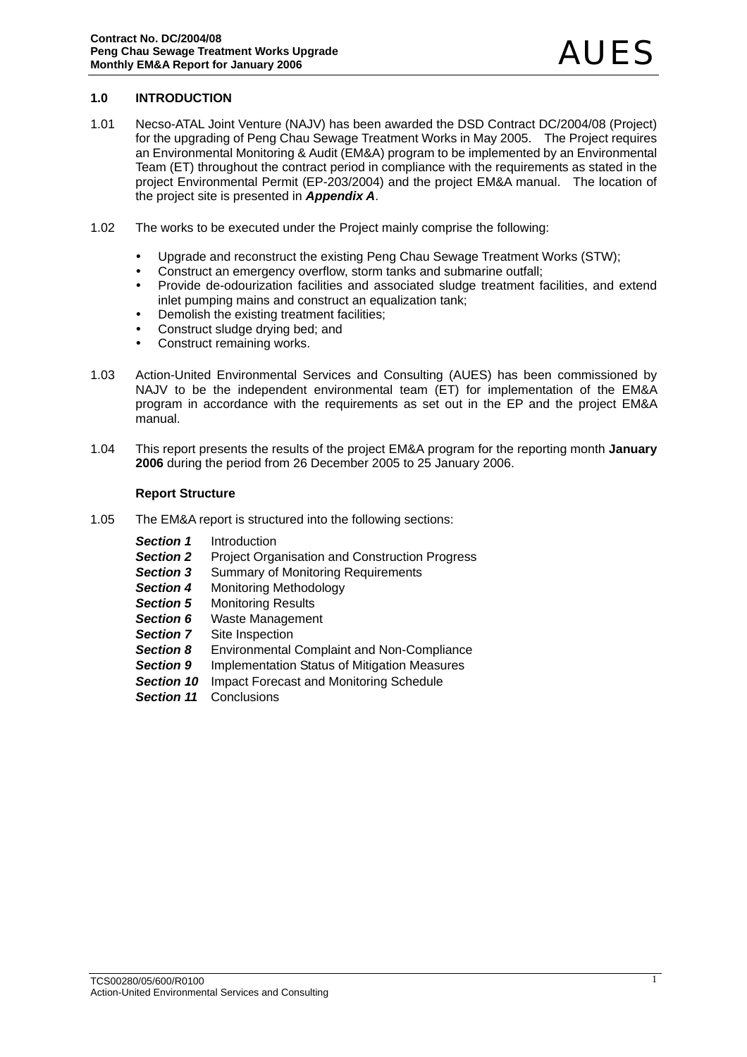### **1.0 INTRODUCTION**

- 1.01 Necso-ATAL Joint Venture (NAJV) has been awarded the DSD Contract DC/2004/08 (Project) for the upgrading of Peng Chau Sewage Treatment Works in May 2005. The Project requires an Environmental Monitoring & Audit (EM&A) program to be implemented by an Environmental Team (ET) throughout the contract period in compliance with the requirements as stated in the project Environmental Permit (EP-203/2004) and the project EM&A manual. The location of the project site is presented in *Appendix A*.
- 1.02 The works to be executed under the Project mainly comprise the following:
	- Upgrade and reconstruct the existing Peng Chau Sewage Treatment Works (STW):
	- Construct an emergency overflow, storm tanks and submarine outfall:
	- Provide de-odourization facilities and associated sludge treatment facilities, and extend inlet pumping mains and construct an equalization tank;
	- Demolish the existing treatment facilities;
	- Construct sludge drying bed; and
	- Construct remaining works.
- 1.03 Action-United Environmental Services and Consulting (AUES) has been commissioned by NAJV to be the independent environmental team (ET) for implementation of the EM&A program in accordance with the requirements as set out in the EP and the project EM&A manual.
- 1.04 This report presents the results of the project EM&A program for the reporting month **January 2006** during the period from 26 December 2005 to 25 January 2006.

#### **Report Structure**

- 1.05 The EM&A report is structured into the following sections:
	- *Section 1* Introduction
	- **Section 2** Project Organisation and Construction Progress
	- **Section 3** Summary of Monitoring Requirements
	- *Section 4* Monitoring Methodology
	- **Section 5** Monitoring Results
	- **Section 6** Waste Management
	- **Section 7** Site Inspection
	- *Section 8* Environmental Complaint and Non-Compliance
	- **Section 9** Implementation Status of Mitigation Measures
	- **Section 10** Impact Forecast and Monitoring Schedule
	- *Section 11* Conclusions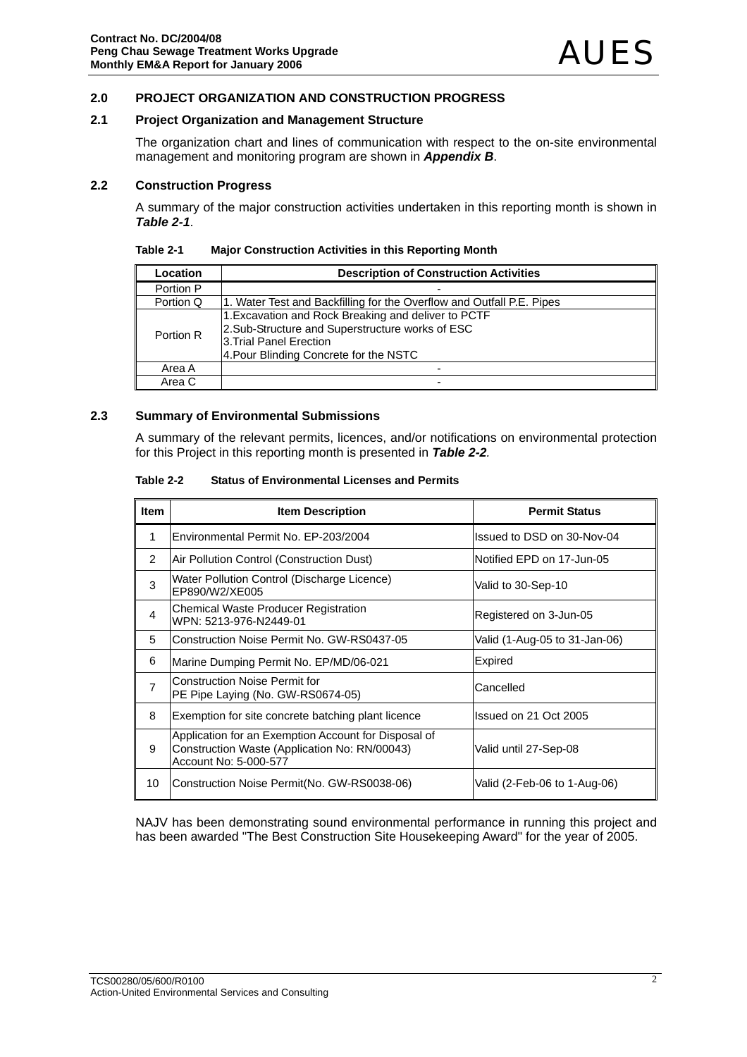### **2.0 PROJECT ORGANIZATION AND CONSTRUCTION PROGRESS**

### **2.1 Project Organization and Management Structure**

The organization chart and lines of communication with respect to the on-site environmental management and monitoring program are shown in *Appendix B*.

#### **2.2 Construction Progress**

A summary of the major construction activities undertaken in this reporting month is shown in *Table 2-1*.

| Table 2-1 | <b>Major Construction Activities in this Reporting Month</b> |  |
|-----------|--------------------------------------------------------------|--|
|           |                                                              |  |

| Location  | <b>Description of Construction Activities</b>                                                                                                                               |
|-----------|-----------------------------------------------------------------------------------------------------------------------------------------------------------------------------|
| Portion P |                                                                                                                                                                             |
| Portion Q | 1. Water Test and Backfilling for the Overflow and Outfall P.E. Pipes                                                                                                       |
| Portion R | 1. Excavation and Rock Breaking and deliver to PCTF<br>2.Sub-Structure and Superstructure works of ESC<br>3. Trial Panel Erection<br>4. Pour Blinding Concrete for the NSTC |
| Area A    |                                                                                                                                                                             |
| Area C    |                                                                                                                                                                             |

#### **2.3 Summary of Environmental Submissions**

A summary of the relevant permits, licences, and/or notifications on environmental protection for this Project in this reporting month is presented in *Table 2-2.* 

| Table 2-2 | <b>Status of Environmental Licenses and Permits</b> |
|-----------|-----------------------------------------------------|
|           |                                                     |

| <b>Item</b>    | <b>Item Description</b>                                                                                                        | <b>Permit Status</b>          |
|----------------|--------------------------------------------------------------------------------------------------------------------------------|-------------------------------|
| 1              | Environmental Permit No. EP-203/2004                                                                                           | Issued to DSD on 30-Nov-04    |
| 2              | Air Pollution Control (Construction Dust)                                                                                      | Notified EPD on 17-Jun-05     |
| 3              | Water Pollution Control (Discharge Licence)<br>EP890/W2/XE005                                                                  | Valid to 30-Sep-10            |
| 4              | Chemical Waste Producer Registration<br>WPN: 5213-976-N2449-01                                                                 | Registered on 3-Jun-05        |
| 5              | Construction Noise Permit No. GW-RS0437-05                                                                                     | Valid (1-Aug-05 to 31-Jan-06) |
| 6              | Marine Dumping Permit No. EP/MD/06-021                                                                                         | Expired                       |
| $\overline{7}$ | <b>Construction Noise Permit for</b><br>PE Pipe Laying (No. GW-RS0674-05)                                                      | Cancelled                     |
| 8              | Exemption for site concrete batching plant licence                                                                             | Issued on 21 Oct 2005         |
| 9              | Application for an Exemption Account for Disposal of<br>Construction Waste (Application No: RN/00043)<br>Account No: 5-000-577 | Valid until 27-Sep-08         |
| 10             | Construction Noise Permit(No. GW-RS0038-06)                                                                                    | Valid (2-Feb-06 to 1-Aug-06)  |

NAJV has been demonstrating sound environmental performance in running this project and has been awarded "The Best Construction Site Housekeeping Award" for the year of 2005.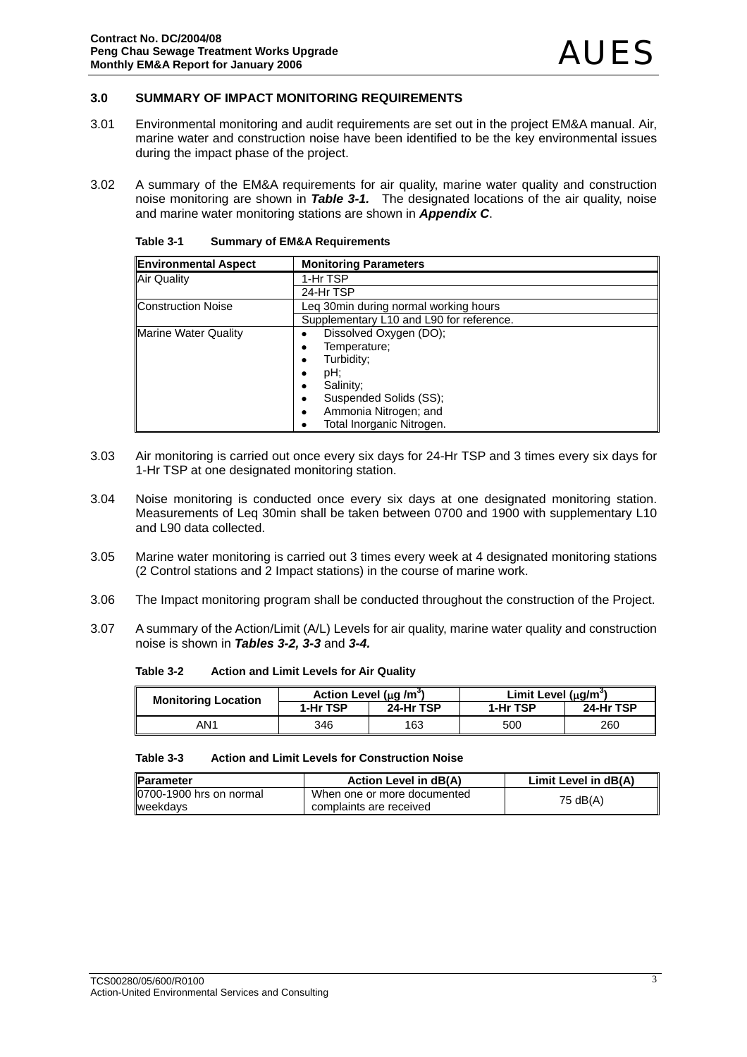### **3.0 SUMMARY OF IMPACT MONITORING REQUIREMENTS**

- 3.01 Environmental monitoring and audit requirements are set out in the project EM&A manual. Air, marine water and construction noise have been identified to be the key environmental issues during the impact phase of the project.
- 3.02 A summary of the EM&A requirements for air quality, marine water quality and construction noise monitoring are shown in *Table 3-1.* The designated locations of the air quality, noise and marine water monitoring stations are shown in *Appendix C*.

| <b>Environmental Aspect</b> | <b>Monitoring Parameters</b>             |
|-----------------------------|------------------------------------------|
| <b>Air Quality</b>          | 1-Hr TSP                                 |
|                             | 24-Hr TSP                                |
| <b>Construction Noise</b>   | Leg 30min during normal working hours    |
|                             | Supplementary L10 and L90 for reference. |
| <b>Marine Water Quality</b> | Dissolved Oxygen (DO);                   |
|                             | Temperature:                             |
|                             | Turbidity;                               |
|                             | pH;<br>٠                                 |
|                             | Salinity;                                |
|                             | Suspended Solids (SS);<br>٠              |
|                             | Ammonia Nitrogen; and                    |
|                             | Total Inorganic Nitrogen.                |

| Table 3-1 | <b>Summary of EM&amp;A Requirements</b> |
|-----------|-----------------------------------------|
|-----------|-----------------------------------------|

- 3.03 Air monitoring is carried out once every six days for 24-Hr TSP and 3 times every six days for 1-Hr TSP at one designated monitoring station.
- 3.04 Noise monitoring is conducted once every six days at one designated monitoring station. Measurements of Leq 30min shall be taken between 0700 and 1900 with supplementary L10 and L90 data collected.
- 3.05 Marine water monitoring is carried out 3 times every week at 4 designated monitoring stations (2 Control stations and 2 Impact stations) in the course of marine work.
- 3.06 The Impact monitoring program shall be conducted throughout the construction of the Project.
- 3.07 A summary of the Action/Limit (A/L) Levels for air quality, marine water quality and construction noise is shown in *Tables 3-2, 3-3* and *3-4.*

**Table 3-2 Action and Limit Levels for Air Quality** 

| <b>Monitoring Location</b> | Action Level (µq /m <sup>o</sup> ) |           | Limit Level $(uq/m^3)$ |           |
|----------------------------|------------------------------------|-----------|------------------------|-----------|
|                            | 1-Hr TSP                           | 24-Hr TSP | 1-Hr TSP               | 24-Hr TSP |
| AN1                        | 346                                | 163       | 500                    | 260       |

| Table 3-3 | <b>Action and Limit Levels for Construction Noise</b> |
|-----------|-------------------------------------------------------|
|           |                                                       |

| <b>IParameter</b>                           | Action Level in dB(A)                                  | Limit Level in dB(A) |
|---------------------------------------------|--------------------------------------------------------|----------------------|
| 10700-1900 hrs on normal<br><b>weekdavs</b> | When one or more documented<br>complaints are received | 75 dB(A)             |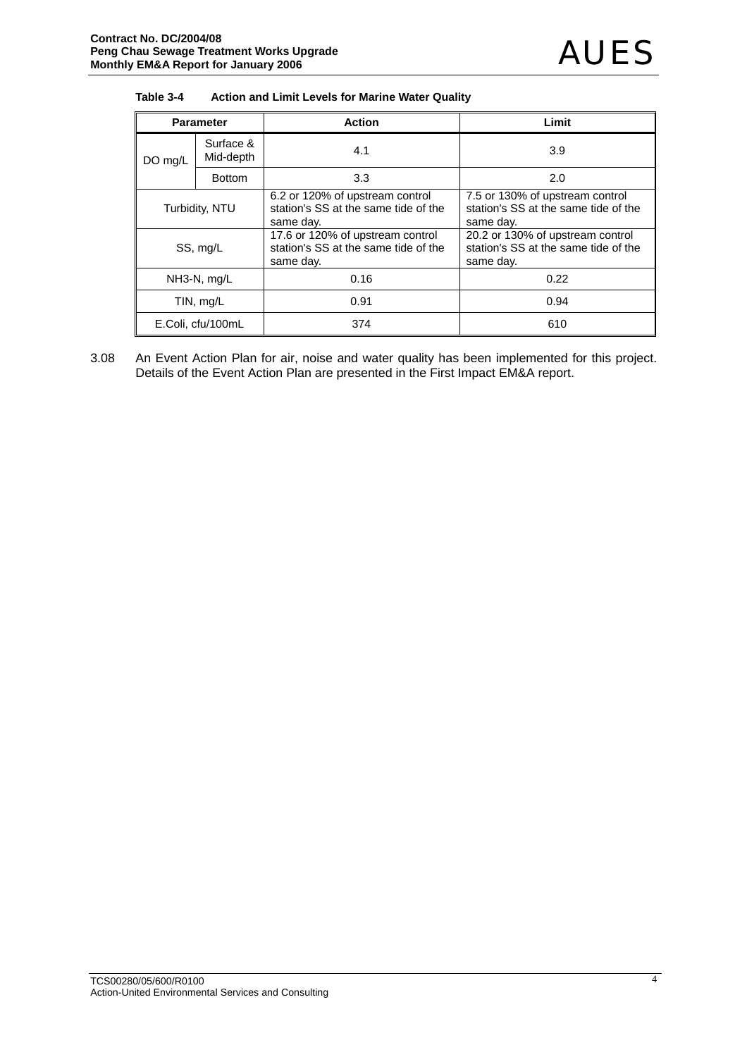| Table 3-4 | Action and Limit Levels for Marine Water Quality |
|-----------|--------------------------------------------------|
|-----------|--------------------------------------------------|

| <b>Parameter</b> |                          | <b>Action</b>                                                                         | Limit                                                                                 |  |  |
|------------------|--------------------------|---------------------------------------------------------------------------------------|---------------------------------------------------------------------------------------|--|--|
| DO mg/L          | Surface &<br>Mid-depth   | 4.1                                                                                   | 3.9                                                                                   |  |  |
|                  | <b>Bottom</b>            | 3.3                                                                                   | 2.0                                                                                   |  |  |
| Turbidity, NTU   |                          | 6.2 or 120% of upstream control<br>station's SS at the same tide of the<br>same day.  | 7.5 or 130% of upstream control<br>station's SS at the same tide of the<br>same day.  |  |  |
| SS, mg/L         |                          | 17.6 or 120% of upstream control<br>station's SS at the same tide of the<br>same day. | 20.2 or 130% of upstream control<br>station's SS at the same tide of the<br>same day. |  |  |
|                  | $NH3-N$ , $mg/L$         | 0.16                                                                                  | 0.22                                                                                  |  |  |
| TIN, mg/L        |                          | 0.91                                                                                  | 0.94                                                                                  |  |  |
|                  | E.Coli, cfu/100mL<br>374 |                                                                                       | 610                                                                                   |  |  |

3.08 An Event Action Plan for air, noise and water quality has been implemented for this project. Details of the Event Action Plan are presented in the First Impact EM&A report.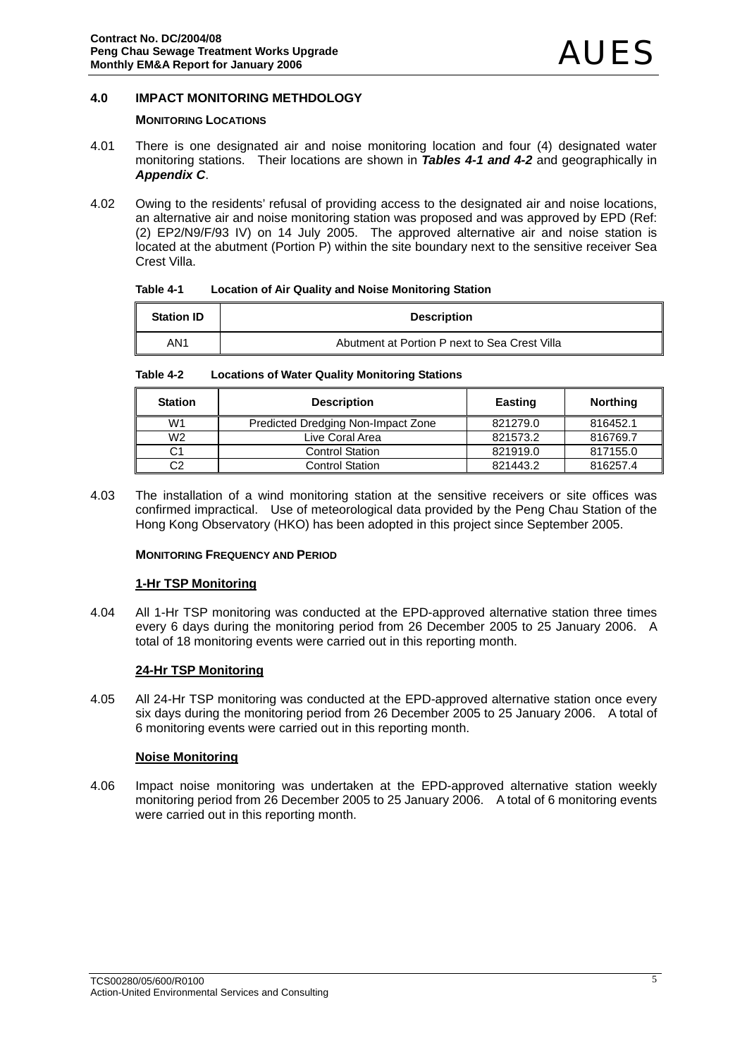### **4.0 IMPACT MONITORING METHDOLOGY**

### **MONITORING LOCATIONS**

- 4.01 There is one designated air and noise monitoring location and four (4) designated water monitoring stations. Their locations are shown in *Tables 4-1 and 4-2* and geographically in *Appendix C*.
- 4.02 Owing to the residents' refusal of providing access to the designated air and noise locations, an alternative air and noise monitoring station was proposed and was approved by EPD (Ref: (2) EP2/N9/F/93 IV) on 14 July 2005. The approved alternative air and noise station is located at the abutment (Portion P) within the site boundary next to the sensitive receiver Sea Crest Villa.

| Table 4-1 |  | <b>Location of Air Quality and Noise Monitoring Station</b> |
|-----------|--|-------------------------------------------------------------|
|-----------|--|-------------------------------------------------------------|

| <b>Station ID</b> | <b>Description</b>                            |
|-------------------|-----------------------------------------------|
| AN1               | Abutment at Portion P next to Sea Crest Villa |

**Table 4-2 Locations of Water Quality Monitoring Stations** 

| Station        | <b>Description</b>                 | <b>Easting</b> | <b>Northing</b> |
|----------------|------------------------------------|----------------|-----------------|
| W <sub>1</sub> | Predicted Dredging Non-Impact Zone | 821279.0       | 816452.1        |
| W <sub>2</sub> | Live Coral Area                    | 821573.2       | 816769.7        |
| C1             | <b>Control Station</b>             | 821919.0       | 817155.0        |
| C2             | <b>Control Station</b>             | 821443.2       | 816257.4        |

4.03 The installation of a wind monitoring station at the sensitive receivers or site offices was confirmed impractical. Use of meteorological data provided by the Peng Chau Station of the Hong Kong Observatory (HKO) has been adopted in this project since September 2005.

### **MONITORING FREQUENCY AND PERIOD**

#### **1-Hr TSP Monitoring**

4.04 All 1-Hr TSP monitoring was conducted at the EPD-approved alternative station three times every 6 days during the monitoring period from 26 December 2005 to 25 January 2006. A total of 18 monitoring events were carried out in this reporting month.

### **24-Hr TSP Monitoring**

4.05 All 24-Hr TSP monitoring was conducted at the EPD-approved alternative station once every six days during the monitoring period from 26 December 2005 to 25 January 2006. A total of 6 monitoring events were carried out in this reporting month.

### **Noise Monitoring**

4.06 Impact noise monitoring was undertaken at the EPD-approved alternative station weekly monitoring period from 26 December 2005 to 25 January 2006. A total of 6 monitoring events were carried out in this reporting month.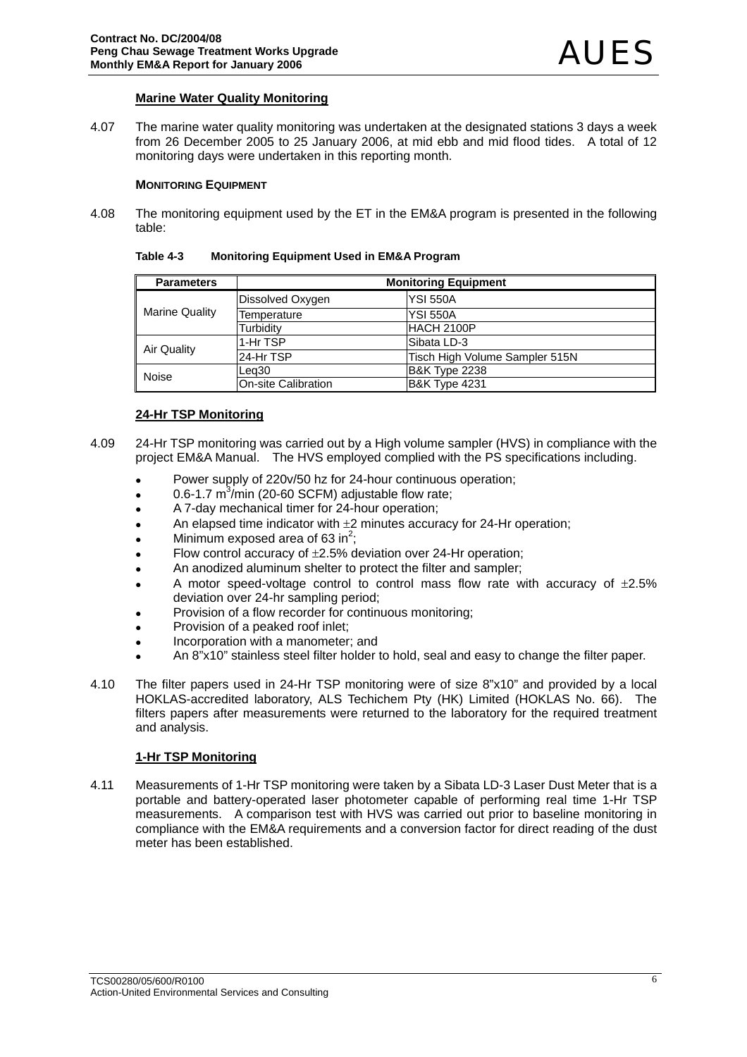### **Marine Water Quality Monitoring**

4.07 The marine water quality monitoring was undertaken at the designated stations 3 days a week from 26 December 2005 to 25 January 2006, at mid ebb and mid flood tides. A total of 12 monitoring days were undertaken in this reporting month.

#### **MONITORING EQUIPMENT**

4.08 The monitoring equipment used by the ET in the EM&A program is presented in the following table:

| Table 4-3 | <b>Monitoring Equipment Used in EM&amp;A Program</b> |  |
|-----------|------------------------------------------------------|--|
|-----------|------------------------------------------------------|--|

| <b>Parameters</b>     |                     | <b>Monitoring Equipment</b>    |  |  |  |  |  |  |
|-----------------------|---------------------|--------------------------------|--|--|--|--|--|--|
| <b>Marine Quality</b> | Dissolved Oxygen    | <b>YSI 550A</b>                |  |  |  |  |  |  |
|                       | Temperature         | <b>YSI 550A</b>                |  |  |  |  |  |  |
|                       | Turbidity           | <b>HACH 2100P</b>              |  |  |  |  |  |  |
| Air Quality           | 1-Hr TSP            | Sibata LD-3                    |  |  |  |  |  |  |
|                       | l24-Hr TSP          | Tisch High Volume Sampler 515N |  |  |  |  |  |  |
| Noise                 | Lea30               | <b>B&amp;K Type 2238</b>       |  |  |  |  |  |  |
|                       | On-site Calibration | <b>B&amp;K Type 4231</b>       |  |  |  |  |  |  |

### **24-Hr TSP Monitoring**

- 4.09 24-Hr TSP monitoring was carried out by a High volume sampler (HVS) in compliance with the project EM&A Manual. The HVS employed complied with the PS specifications including.
	- Power supply of 220v/50 hz for 24-hour continuous operation:
	- $\bullet$  0.6-1.7 m<sup>3</sup>/min (20-60 SCFM) adjustable flow rate;
	- A 7-day mechanical timer for 24-hour operation;
	- An elapsed time indicator with  $\pm 2$  minutes accuracy for 24-Hr operation;
	- Minimum exposed area of 63 in<sup>2</sup>;
	- Flow control accuracy of  $\pm 2.5$ % deviation over 24-Hr operation;
	- An anodized aluminum shelter to protect the filter and sampler;
	- A motor speed-voltage control to control mass flow rate with accuracy of  $\pm 2.5\%$ deviation over 24-hr sampling period;
	- Provision of a flow recorder for continuous monitoring;
	- Provision of a peaked roof inlet:
	- Incorporation with a manometer; and
	- An 8"x10" stainless steel filter holder to hold, seal and easy to change the filter paper.
- 4.10 The filter papers used in 24-Hr TSP monitoring were of size 8"x10" and provided by a local HOKLAS-accredited laboratory, ALS Techichem Pty (HK) Limited (HOKLAS No. 66). The filters papers after measurements were returned to the laboratory for the required treatment and analysis.

### **1-Hr TSP Monitoring**

4.11 Measurements of 1-Hr TSP monitoring were taken by a Sibata LD-3 Laser Dust Meter that is a portable and battery-operated laser photometer capable of performing real time 1-Hr TSP measurements. A comparison test with HVS was carried out prior to baseline monitoring in compliance with the EM&A requirements and a conversion factor for direct reading of the dust meter has been established.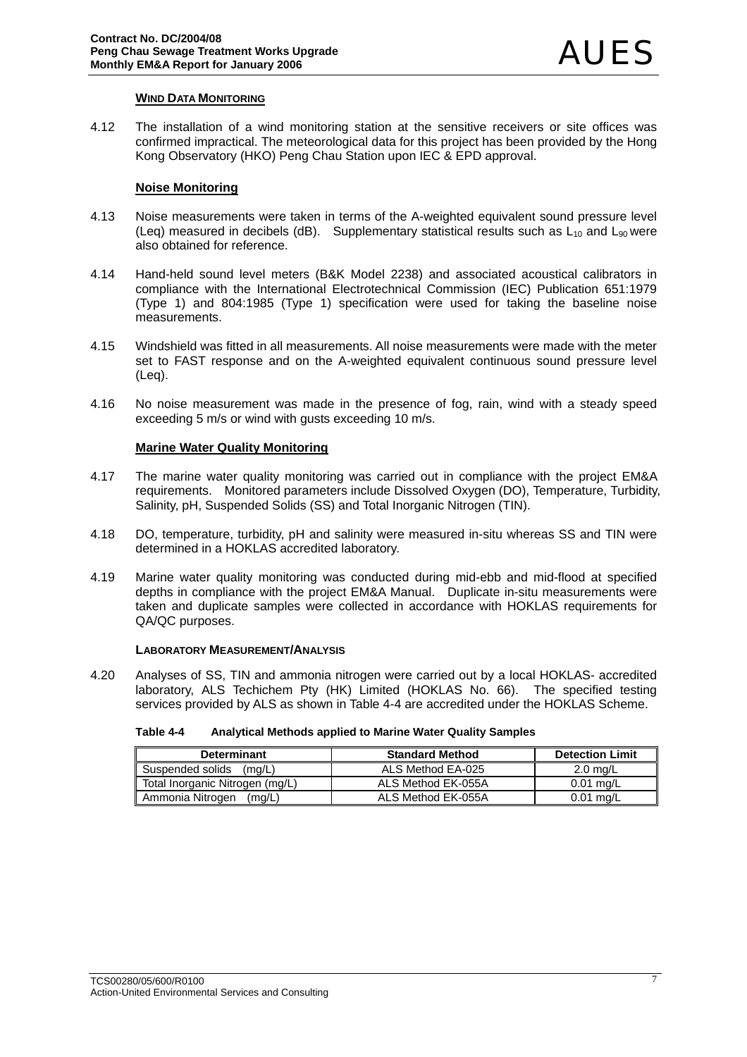### **WIND DATA MONITORING**

4.12 The installation of a wind monitoring station at the sensitive receivers or site offices was confirmed impractical. The meteorological data for this project has been provided by the Hong Kong Observatory (HKO) Peng Chau Station upon IEC & EPD approval.

### **Noise Monitoring**

- 4.13 Noise measurements were taken in terms of the A-weighted equivalent sound pressure level (Leq) measured in decibels (dB). Supplementary statistical results such as  $L_{10}$  and  $L_{90}$  were also obtained for reference.
- 4.14 Hand-held sound level meters (B&K Model 2238) and associated acoustical calibrators in compliance with the International Electrotechnical Commission (IEC) Publication 651:1979 (Type 1) and 804:1985 (Type 1) specification were used for taking the baseline noise measurements.
- 4.15 Windshield was fitted in all measurements. All noise measurements were made with the meter set to FAST response and on the A-weighted equivalent continuous sound pressure level (Leq).
- 4.16 No noise measurement was made in the presence of fog, rain, wind with a steady speed exceeding 5 m/s or wind with gusts exceeding 10 m/s.

### **Marine Water Quality Monitoring**

- 4.17 The marine water quality monitoring was carried out in compliance with the project EM&A requirements. Monitored parameters include Dissolved Oxygen (DO), Temperature, Turbidity, Salinity, pH, Suspended Solids (SS) and Total Inorganic Nitrogen (TIN).
- 4.18 DO, temperature, turbidity, pH and salinity were measured in-situ whereas SS and TIN were determined in a HOKLAS accredited laboratory.
- 4.19 Marine water quality monitoring was conducted during mid-ebb and mid-flood at specified depths in compliance with the project EM&A Manual. Duplicate in-situ measurements were taken and duplicate samples were collected in accordance with HOKLAS requirements for QA/QC purposes.

#### **LABORATORY MEASUREMENT/ANALYSIS**

4.20 Analyses of SS, TIN and ammonia nitrogen were carried out by a local HOKLAS- accredited laboratory, ALS Techichem Pty (HK) Limited (HOKLAS No. 66). The specified testing services provided by ALS as shown in Table 4-4 are accredited under the HOKLAS Scheme.

| Table 4-4 | Analytical Methods applied to Marine Water Quality Samples |
|-----------|------------------------------------------------------------|
|-----------|------------------------------------------------------------|

| <b>Determinant</b>              | <b>Standard Method</b> | <b>Detection Limit</b> |  |  |
|---------------------------------|------------------------|------------------------|--|--|
| Suspended solids<br>(ma/L)      | ALS Method EA-025      | $2.0 \text{ rad/L}$    |  |  |
| Total Inorganic Nitrogen (mg/L) | ALS Method EK-055A     | $0.01$ ma/L            |  |  |
| Ammonia Nitrogen<br>(ma/L)      | ALS Method EK-055A     | $0.01$ ma/L            |  |  |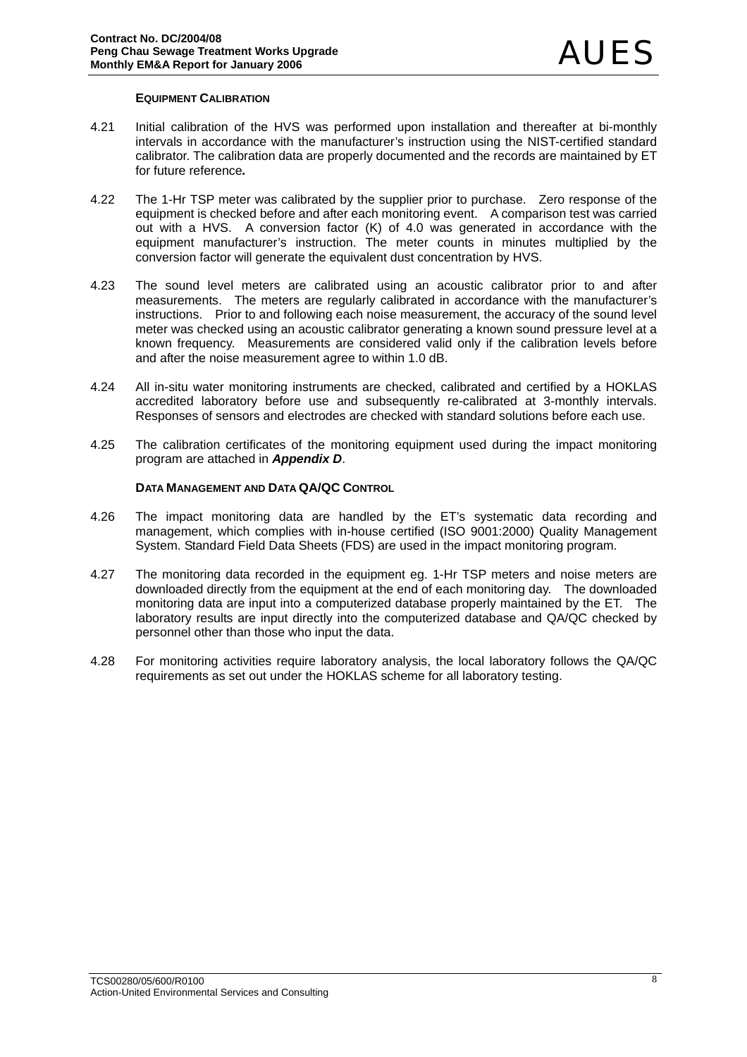### **EQUIPMENT CALIBRATION**

- 4.21 Initial calibration of the HVS was performed upon installation and thereafter at bi-monthly intervals in accordance with the manufacturer's instruction using the NIST-certified standard calibrator. The calibration data are properly documented and the records are maintained by ET for future reference*.*
- 4.22 The 1-Hr TSP meter was calibrated by the supplier prior to purchase. Zero response of the equipment is checked before and after each monitoring event. A comparison test was carried out with a HVS. A conversion factor (K) of 4.0 was generated in accordance with the equipment manufacturer's instruction. The meter counts in minutes multiplied by the conversion factor will generate the equivalent dust concentration by HVS.
- 4.23 The sound level meters are calibrated using an acoustic calibrator prior to and after measurements. The meters are regularly calibrated in accordance with the manufacturer's instructions. Prior to and following each noise measurement, the accuracy of the sound level meter was checked using an acoustic calibrator generating a known sound pressure level at a known frequency. Measurements are considered valid only if the calibration levels before and after the noise measurement agree to within 1.0 dB.
- 4.24 All in-situ water monitoring instruments are checked, calibrated and certified by a HOKLAS accredited laboratory before use and subsequently re-calibrated at 3-monthly intervals. Responses of sensors and electrodes are checked with standard solutions before each use.
- 4.25 The calibration certificates of the monitoring equipment used during the impact monitoring program are attached in *Appendix D*.

### **DATA MANAGEMENT AND DATA QA/QC CONTROL**

- 4.26 The impact monitoring data are handled by the ET's systematic data recording and management, which complies with in-house certified (ISO 9001:2000) Quality Management System. Standard Field Data Sheets (FDS) are used in the impact monitoring program.
- 4.27 The monitoring data recorded in the equipment eg. 1-Hr TSP meters and noise meters are downloaded directly from the equipment at the end of each monitoring day. The downloaded monitoring data are input into a computerized database properly maintained by the ET. The laboratory results are input directly into the computerized database and QA/QC checked by personnel other than those who input the data.
- 4.28 For monitoring activities require laboratory analysis, the local laboratory follows the QA/QC requirements as set out under the HOKLAS scheme for all laboratory testing.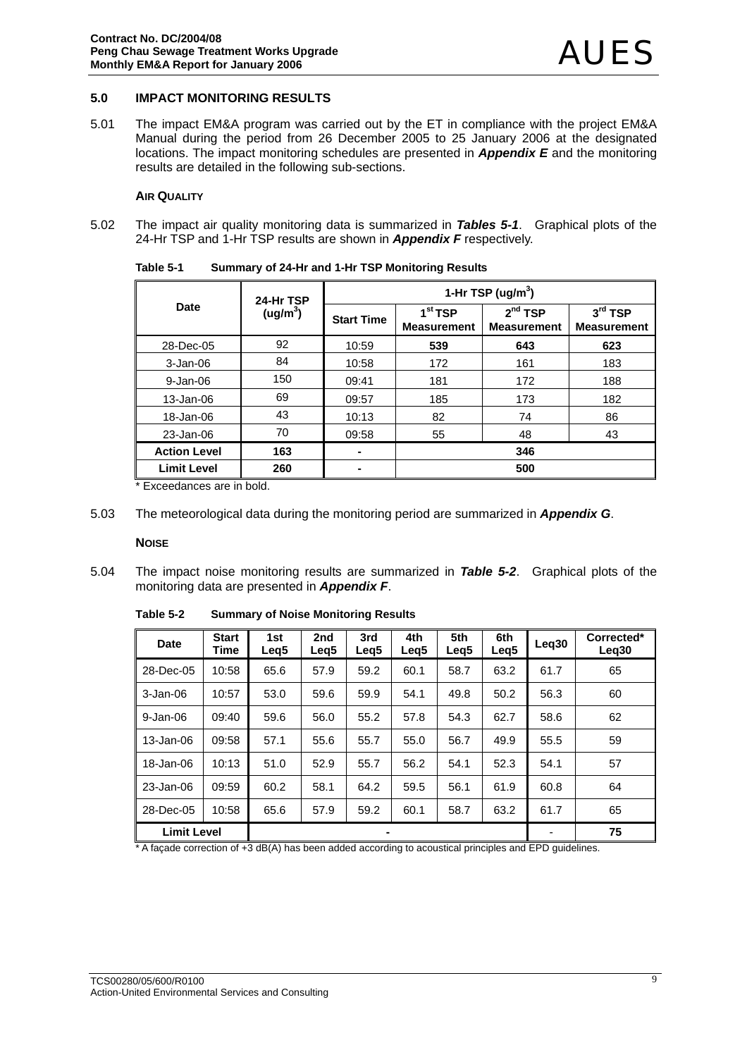#### **5.0 IMPACT MONITORING RESULTS**

5.01 The impact EM&A program was carried out by the ET in compliance with the project EM&A Manual during the period from 26 December 2005 to 25 January 2006 at the designated locations. The impact monitoring schedules are presented in *Appendix E* and the monitoring results are detailed in the following sub-sections.

#### **AIR QUALITY**

5.02 The impact air quality monitoring data is summarized in *Tables 5-1*. Graphical plots of the 24-Hr TSP and 1-Hr TSP results are shown in *Appendix F* respectively.

|                     | 24-Hr TSP            | 1-Hr TSP (ug/m <sup>3</sup> ) |                                           |                                           |                                 |  |  |  |
|---------------------|----------------------|-------------------------------|-------------------------------------------|-------------------------------------------|---------------------------------|--|--|--|
| Date                | (ug/m <sup>3</sup> ) | <b>Start Time</b>             | 1 <sup>st</sup> TSP<br><b>Measurement</b> | 2 <sup>nd</sup> TSP<br><b>Measurement</b> | $3rd$ TSP<br><b>Measurement</b> |  |  |  |
| 28-Dec-05           | 92                   | 10:59                         | 539                                       | 643                                       | 623                             |  |  |  |
| 3-Jan-06            | 84                   | 10:58                         | 172                                       | 161                                       | 183                             |  |  |  |
| 9-Jan-06            | 150                  | 09:41                         | 181                                       | 172                                       | 188                             |  |  |  |
| 13-Jan-06           | 69                   | 09:57                         | 185                                       | 173                                       | 182                             |  |  |  |
| 18-Jan-06           | 43                   | 10:13                         | 82                                        | 74                                        | 86                              |  |  |  |
| 23-Jan-06           | 70                   | 09:58                         | 55                                        | 48                                        | 43                              |  |  |  |
| <b>Action Level</b> | 163                  | $\blacksquare$                | 346                                       |                                           |                                 |  |  |  |
| <b>Limit Level</b>  | 260                  | ۰                             | 500                                       |                                           |                                 |  |  |  |

**Table 5-1 Summary of 24-Hr and 1-Hr TSP Monitoring Results** 

\* Exceedances are in bold.

5.03 The meteorological data during the monitoring period are summarized in *Appendix G*.

#### **NOISE**

5.04 The impact noise monitoring results are summarized in *Table 5-2*. Graphical plots of the monitoring data are presented in *Appendix F*.

**Table 5-2 Summary of Noise Monitoring Results** 

| Date               | <b>Start</b><br>Time | 1st<br>Leg5 | 2nd<br>Leg <sub>5</sub> | 3rd<br>Leg5 | 4th<br>Leg5 | 5th<br>Leg <sub>5</sub> | 6th<br>Leg <sub>5</sub> | Leg <sub>30</sub> | Corrected*<br>Leg <sub>30</sub> |
|--------------------|----------------------|-------------|-------------------------|-------------|-------------|-------------------------|-------------------------|-------------------|---------------------------------|
| 28-Dec-05          | 10:58                | 65.6        | 57.9                    | 59.2        | 60.1        | 58.7                    | 63.2                    | 61.7              | 65                              |
| $3 - Jan-06$       | 10:57                | 53.0        | 59.6                    | 59.9        | 54.1        | 49.8                    | 50.2                    | 56.3              | 60                              |
| $9 - Jan-06$       | 09:40                | 59.6        | 56.0                    | 55.2        | 57.8        | 54.3                    | 62.7                    | 58.6              | 62                              |
| 13-Jan-06          | 09:58                | 57.1        | 55.6                    | 55.7        | 55.0        | 56.7                    | 49.9                    | 55.5              | 59                              |
| 18-Jan-06          | 10:13                | 51.0        | 52.9                    | 55.7        | 56.2        | 54.1                    | 52.3                    | 54.1              | 57                              |
| 23-Jan-06          | 09:59                | 60.2        | 58.1                    | 64.2        | 59.5        | 56.1                    | 61.9                    | 60.8              | 64                              |
| 28-Dec-05          | 10:58                | 65.6        | 57.9                    | 59.2        | 60.1        | 58.7                    | 63.2                    | 61.7              | 65                              |
| <b>Limit Level</b> |                      |             |                         | ۰           |             |                         |                         |                   | 75                              |

\* A façade correction of +3 dB(A) has been added according to acoustical principles and EPD guidelines.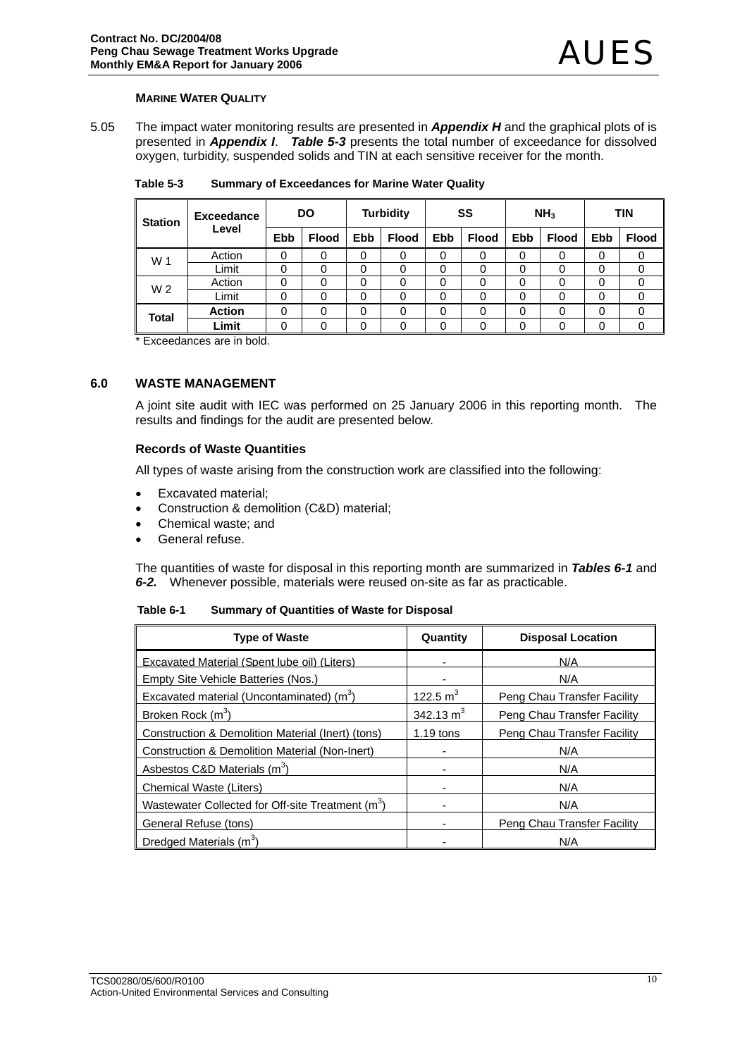#### **MARINE WATER QUALITY**

5.05 The impact water monitoring results are presented in *Appendix H* and the graphical plots of is presented in *Appendix I*. *Table 5-3* presents the total number of exceedance for dissolved oxygen, turbidity, suspended solids and TIN at each sensitive receiver for the month.

| <b>Station</b> | <b>Exceedance</b> | <b>Turbidity</b><br><b>DO</b> |              | SS  |              | NH <sub>3</sub> |              | <b>TIN</b> |              |     |              |
|----------------|-------------------|-------------------------------|--------------|-----|--------------|-----------------|--------------|------------|--------------|-----|--------------|
|                | Level             | <b>Ebb</b>                    | <b>Flood</b> | Ebb | <b>Flood</b> | <b>Ebb</b>      | <b>Flood</b> | Ebb        | <b>Flood</b> | Ebb | <b>Flood</b> |
| W 1            | Action            | 0                             | 0            | 0   | 0            | 0               |              | 0          | 0            | 0   |              |
|                | Limit             | 0                             | 0            | 0   | 0            | 0               | 0            | 0          | 0            | 0   | 0            |
| W <sub>2</sub> | Action            | 0                             | 0            | 0   | 0            | 0               | 0            | 0          | 0            | 0   |              |
|                | Limit             | 0                             | 0            | 0   | 0            | 0               |              | 0          | 0            | 0   | 0            |
| Total          | <b>Action</b>     | 0                             | 0            | 0   | 0            | 0               | 0            | 0          | 0            | 0   | 0            |
|                | Limit             | 0                             | 0            | 0   | 0            | 0               | 0            | 0          | 0            | 0   | $\Omega$     |

**Table 5-3 Summary of Exceedances for Marine Water Quality** 

\* Exceedances are in bold.

## **6.0 WASTE MANAGEMENT**

A joint site audit with IEC was performed on 25 January 2006 in this reporting month. The results and findings for the audit are presented below.

#### **Records of Waste Quantities**

All types of waste arising from the construction work are classified into the following:

- Excavated material;
- Construction & demolition (C&D) material;
- Chemical waste; and
- General refuse.

The quantities of waste for disposal in this reporting month are summarized in *Tables 6-1* and *6-2.* Whenever possible, materials were reused on-site as far as practicable.

| Table 6-1 | <b>Summary of Quantities of Waste for Disposal</b> |
|-----------|----------------------------------------------------|
|           |                                                    |

| <b>Type of Waste</b>                                          | Quantity                 | <b>Disposal Location</b>    |
|---------------------------------------------------------------|--------------------------|-----------------------------|
| <b>Excavated Material (Spent lube oil) (Liters)</b>           | ۰                        | N/A                         |
| Empty Site Vehicle Batteries (Nos.)                           |                          | N/A                         |
| Excavated material (Uncontaminated) (m <sup>3</sup> )         | 122.5 $m^3$              | Peng Chau Transfer Facility |
| Broken Rock (m <sup>3</sup> )                                 | 342.13 $m3$              | Peng Chau Transfer Facility |
| Construction & Demolition Material (Inert) (tons)             | $1.19$ tons              | Peng Chau Transfer Facility |
| <b>Construction &amp; Demolition Material (Non-Inert)</b>     | ٠                        | N/A                         |
| Asbestos C&D Materials (m <sup>3</sup> )                      | $\overline{\phantom{a}}$ | N/A                         |
| <b>Chemical Waste (Liters)</b>                                | $\overline{\phantom{a}}$ | N/A                         |
| Wastewater Collected for Off-site Treatment (m <sup>3</sup> ) | $\overline{\phantom{a}}$ | N/A                         |
| General Refuse (tons)                                         |                          | Peng Chau Transfer Facility |
| Dredged Materials (m <sup>3</sup> )                           |                          | N/A                         |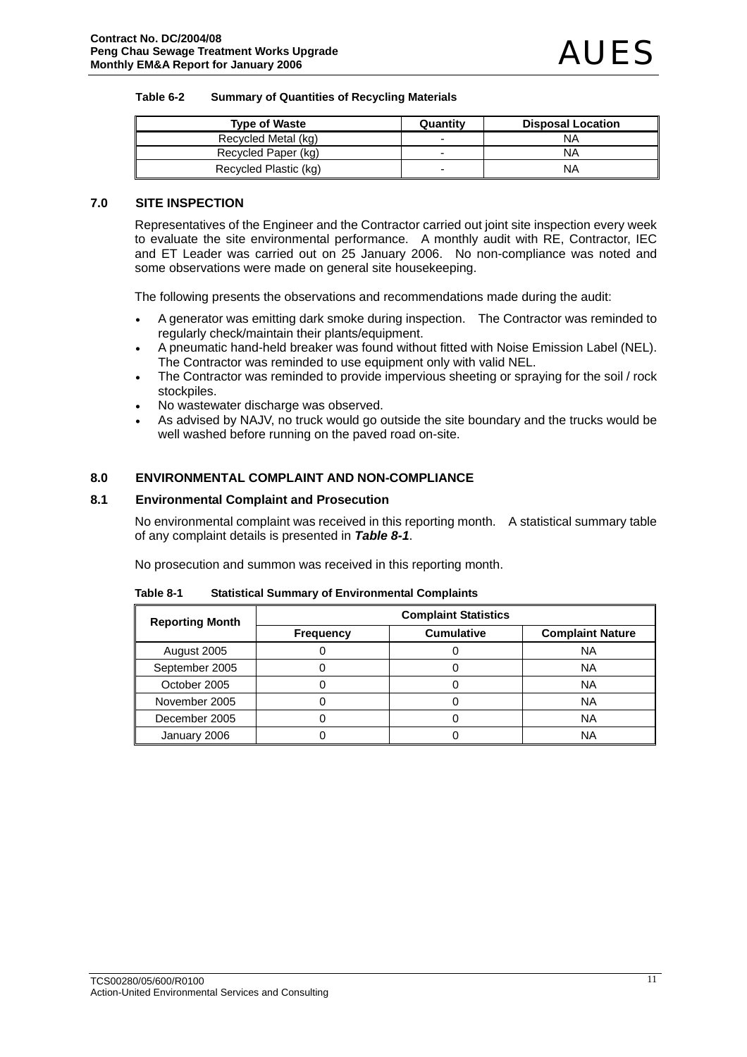#### **Table 6-2 Summary of Quantities of Recycling Materials**

| <b>Type of Waste</b>  | Quantity | <b>Disposal Location</b> |
|-----------------------|----------|--------------------------|
| Recycled Metal (kg)   |          | NA                       |
| Recycled Paper (kg)   | -        | NΑ                       |
| Recycled Plastic (kg) |          | NA                       |

### **7.0 SITE INSPECTION**

Representatives of the Engineer and the Contractor carried out joint site inspection every week to evaluate the site environmental performance. A monthly audit with RE, Contractor, IEC and ET Leader was carried out on 25 January 2006. No non-compliance was noted and some observations were made on general site housekeeping.

The following presents the observations and recommendations made during the audit:

- A generator was emitting dark smoke during inspection. The Contractor was reminded to regularly check/maintain their plants/equipment.
- A pneumatic hand-held breaker was found without fitted with Noise Emission Label (NEL). The Contractor was reminded to use equipment only with valid NEL.
- The Contractor was reminded to provide impervious sheeting or spraying for the soil / rock stockpiles.
- No wastewater discharge was observed.
- As advised by NAJV, no truck would go outside the site boundary and the trucks would be well washed before running on the paved road on-site.

#### **8.0 ENVIRONMENTAL COMPLAINT AND NON-COMPLIANCE**

#### **8.1 Environmental Complaint and Prosecution**

No environmental complaint was received in this reporting month. A statistical summary table of any complaint details is presented in *Table 8-1*.

No prosecution and summon was received in this reporting month.

| <b>Reporting Month</b> | <b>Complaint Statistics</b> |                   |                         |  |  |
|------------------------|-----------------------------|-------------------|-------------------------|--|--|
|                        | <b>Frequency</b>            | <b>Cumulative</b> | <b>Complaint Nature</b> |  |  |
| August 2005            |                             |                   | <b>NA</b>               |  |  |
| September 2005         |                             |                   | NA                      |  |  |
| October 2005           |                             |                   | <b>NA</b>               |  |  |
| November 2005          |                             |                   | <b>NA</b>               |  |  |
| December 2005          |                             |                   | <b>NA</b>               |  |  |
| January 2006           |                             |                   | NA                      |  |  |

**Table 8-1 Statistical Summary of Environmental Complaints**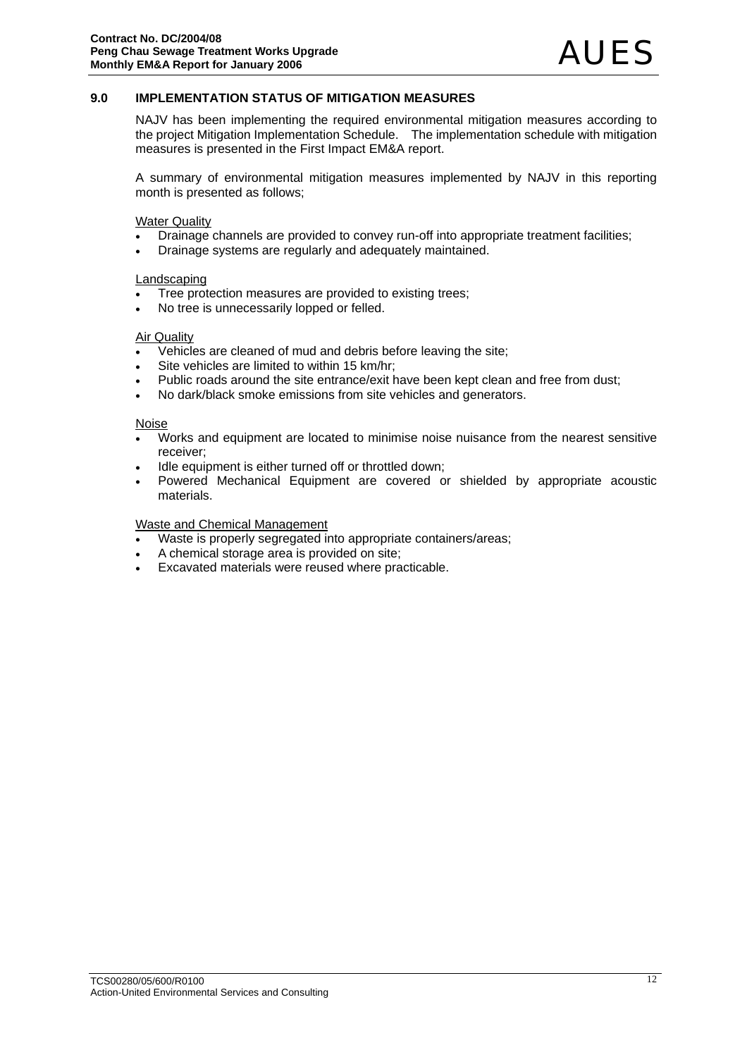### **9.0 IMPLEMENTATION STATUS OF MITIGATION MEASURES**

NAJV has been implementing the required environmental mitigation measures according to the project Mitigation Implementation Schedule. The implementation schedule with mitigation measures is presented in the First Impact EM&A report.

A summary of environmental mitigation measures implemented by NAJV in this reporting month is presented as follows;

Water Quality

- Drainage channels are provided to convey run-off into appropriate treatment facilities;
- Drainage systems are regularly and adequately maintained.

#### Landscaping

- Tree protection measures are provided to existing trees;
- No tree is unnecessarily lopped or felled.

#### Air Quality

- Vehicles are cleaned of mud and debris before leaving the site;
- Site vehicles are limited to within 15 km/hr;
- Public roads around the site entrance/exit have been kept clean and free from dust;
- No dark/black smoke emissions from site vehicles and generators.

#### Noise

- Works and equipment are located to minimise noise nuisance from the nearest sensitive receiver;
- Idle equipment is either turned off or throttled down:
- Powered Mechanical Equipment are covered or shielded by appropriate acoustic materials.

#### Waste and Chemical Management

- Waste is properly segregated into appropriate containers/areas;
- A chemical storage area is provided on site;
- Excavated materials were reused where practicable.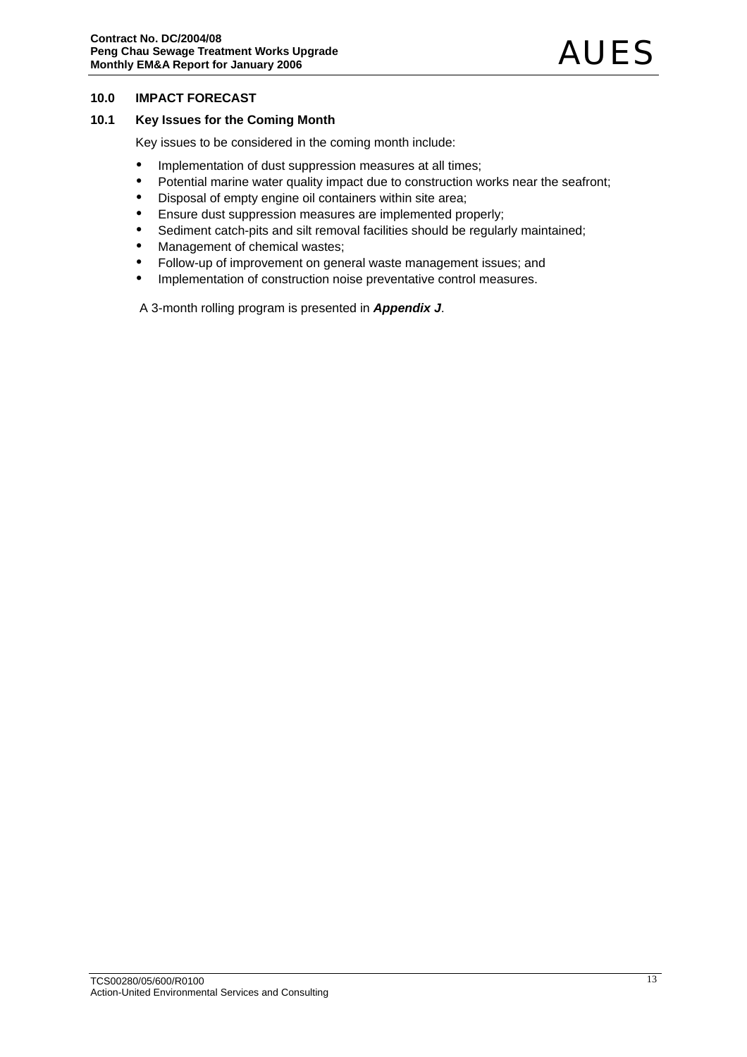### **10.0 IMPACT FORECAST**

### **10.1 Key Issues for the Coming Month**

Key issues to be considered in the coming month include:

- Implementation of dust suppression measures at all times;
- Potential marine water quality impact due to construction works near the seafront;
- Disposal of empty engine oil containers within site area;
- Ensure dust suppression measures are implemented properly;
- Sediment catch-pits and silt removal facilities should be regularly maintained;
- Management of chemical wastes;
- Follow-up of improvement on general waste management issues; and
- Implementation of construction noise preventative control measures.

A 3-month rolling program is presented in *Appendix J*.